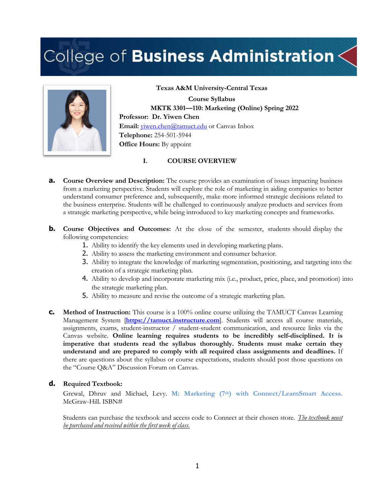# College of Business Administration  $<$



**Course Syllabus MKTK 3301—110: Marketing (Online) Spring 2022 Professor: Dr. Yiwen Chen** Email: *yiwen.chen@tamuct.edu* or Canvas Inbox **Telephone:** 254-501-5944 **Office Hours:** By appoint

**Texas A&M University-Central Texas**

**I. COURSE OVERVIEW**

- **a. Course Overview and Description:** The course provides an examination of issues impacting business from a marketing perspective. Students will explore the role of marketing in aiding companies to better understand consumer preference and, subsequently, make more informed strategic decisions related to the business enterprise. Students will be challenged to continuously analyze products and services from a strategic marketing perspective, while being introduced to key marketing concepts and frameworks.
- **b. Course Objectives and Outcomes:** At the close of the semester, students should display the following competencies:
	- 1. Ability to identify the key elements used in developing marketing plans.
	- 2. Ability to assess the marketing environment and consumer behavior.
	- 3. Ability to integrate the knowledge of marketing segmentation, positioning, and targeting into the creation of a strategic marketing plan.
	- 4. Ability to develop and incorporate marketing mix (i.e., product, price, place, and promotion) into the strategic marketing plan.
	- 5. Ability to measure and revise the outcome of a strategic marketing plan.
- **c. Method of Instruction:** This course is a 100% online course utilizing the TAMUCT Canvas Learning Management System [https://tamuct.instructure.com]. Students will access all course materials, assignments, exams, student-instructor / student-student communication, and resource links via the Canvas website. **Online learning requires students to be incredibly self-disciplined. It is imperative that students read the syllabus thoroughly. Students must make certain they understand and are prepared to comply with all required class assignments and deadlines.** If there are questions about the syllabus or course expectations, students should post those questions on the "Course Q&A" Discussion Forum on Canvas.

#### **d. Required Textbook:**

Grewal, Dhruv and Michael, Levy. **M: Marketing (7th) with Connect/LearnSmart Access.** McGraw-Hill. ISBN#

Students can purchase the textbook and access code to Connect at their chosen store. *The textbook must be purchased and received within the first week of class.*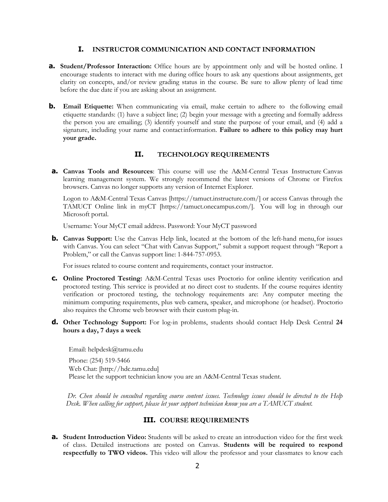#### **I. INSTRUCTOR COMMUNICATION AND CONTACT INFORMATION**

- **a. Student/Professor Interaction:** Office hours are by appointment only and will be hosted online. I encourage students to interact with me during office hours to ask any questions about assignments, get clarity on concepts, and/or review grading status in the course. Be sure to allow plenty of lead time before the due date if you are asking about an assignment.
- **b. Email Etiquette:** When communicating via email, make certain to adhere to the following email etiquette standards: (1) have a subject line; (2) begin your message with a greeting and formally address the person you are emailing; (3) identify yourself and state the purpose of your email, and (4) add a signature, including your name and contactinformation. **Failure to adhere to this policy may hurt your grade.**

#### **II. TECHNOLOGY REQUIREMENTS**

**a. Canvas Tools and Resources**: This course will use the A&M-Central Texas Instructure Canvas learning management system. We strongly recommend the latest versions of Chrome or Firefox browsers. Canvas no longer supports any version of Internet Explorer.

Logon to A&M-Central Texas Canvas [https://tamuct.instructure.com/] or access Canvas through the TAMUCT Online link in myCT [https://tamuct.onecampus.com/]. You will log in through our Microsoft portal.

Username: Your MyCT email address. Password: Your MyCT password

**b. Canvas Support:** Use the Canvas Help link, located at the bottom of the left-hand menu, for issues with Canvas. You can select "Chat with Canvas Support," submit a support request through "Report a Problem," or call the Canvas support line: 1-844-757-0953.

For issues related to course content and requirements, contact your instructor.

- **c. Online Proctored Testing:** A&M-Central Texas uses Proctorio for online identity verification and proctored testing. This service is provided at no direct cost to students. If the course requires identity verification or proctored testing, the technology requirements are: Any computer meeting the minimum computing requirements, plus web camera, speaker, and microphone (or headset). Proctorio also requires the Chrome web browser with their custom plug-in.
- **d. Other Technology Support:** For log-in problems, students should contact Help Desk Central **24 hours a day, 7 days a week**

Email: helpdesk@tamu.edu Phone: (254) 519-5466 Web Chat: [http://hdc.tamu.edu] Please let the support technician know you are an A&M-Central Texas student.

*Dr. Chen should be consulted regarding course content issues. Technology issues should be directed to the Help Desk. When calling for support, please let your support technician know you are a TAMUCT student.*

#### **III. COURSE REQUIREMENTS**

**a. Student Introduction Video:** Students will be asked to create an introduction video for the first week of class. Detailed instructions are posted on Canvas. **Students will be required to respond respectfully to TWO videos.** This video will allow the professor and your classmates to know each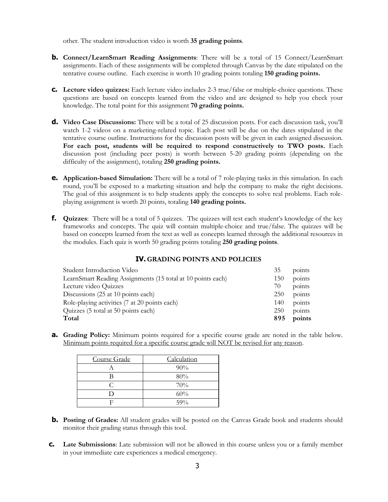other. The student introduction video is worth **35 grading points**.

- **b.** Connect/LearnSmart Reading Assignments: There will be a total of 15 Connect/LearnSmart assignments. Each of these assignments will be completed through Canvas by the date stipulated on the tentative course outline. Each exercise is worth 10 grading points totaling **150 grading points.**
- **c. Lecture video quizzes:** Each lecture video includes 2-3 true/false or multiple-choice questions. These questions are based on concepts learned from the video and are designed to help you check your knowledge. The total point for this assignment **70 grading points.**
- **d. Video Case Discussions:** There will be a total of 25 discussion posts. For each discussion task, you'll watch 1-2 videos on a marketing-related topic. Each post will be due on the dates stipulated in the tentative course outline. Instructions for the discussion posts will be given in each assigned discussion. **For each post, students will be required to respond constructively to TWO posts.** Each discussion post (including peer posts) is worth between 5-20 grading points (depending on the difficulty of the assignment), totaling **250 grading points.**
- **e. Application-based Simulation:** There will be a total of 7 role-playing tasks in this simulation. In each round, you'll be exposed to a marketing situation and help the company to make the right decisions. The goal of this assignment is to help students apply the concepts to solve real problems. Each roleplaying assignment is worth 20 points, totaling **140 grading points.**
- **f. Quizzes**: There will be a total of 5 quizzes. The quizzes will test each student's knowledge of the key frameworks and concepts. The quiz will contain multiple-choice and true/false. The quizzes will be based on concepts learned from the text as well as concepts learned through the additional resources in the modules. Each quiz is worth 50 grading points totaling **250 grading points**.

#### **IV. GRADING POINTS AND POLICIES**

| Total<br>895                                                       | points |
|--------------------------------------------------------------------|--------|
| Quizzes (5 total at 50 points each)<br>250                         | points |
| Role-playing activities (7 at 20 points each)<br>140               | points |
| Discussions (25 at 10 points each)<br>250                          | points |
| Lecture video Quizzes<br>70                                        | points |
| LearnSmart Reading Assignments (15 total at 10 points each)<br>150 | points |
| Student Introduction Video<br>35                                   | points |

**a. Grading Policy:** Minimum points required for a specific course grade are noted in the table below. Minimum points required for a specific course grade will NOT be revised for any reason.

| Course Grade | Calculation |
|--------------|-------------|
|              | 90%         |
| R            | 80%         |
| ⊂            | 70%         |
| ו ו          | 60%         |
|              | 59%         |

- **b.** Posting of Grades: All student grades will be posted on the Canvas Grade book and students should monitor their grading status through this tool.
- **c. Late Submissions**: Late submission will not be allowed in this course unless you or a family member in your immediate care experiences a medical emergency.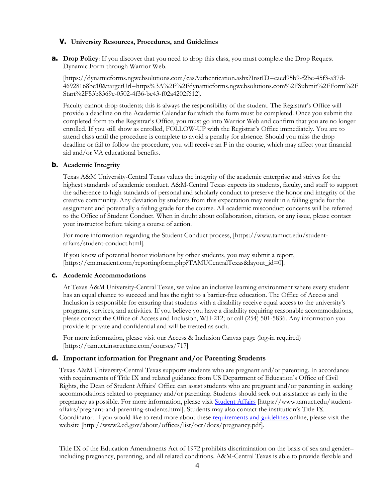#### **V. University Resources, Procedures, and Guidelines**

**a. Drop Policy**: If you discover that you need to drop this class, you must complete the Drop Request Dynamic Form through Warrior Web.

[https://dynamicforms.ngwebsolutions.com/casAuthentication.ashx?InstID=eaed95b9-f2be-45f3-a37d-46928168bc10&targetUrl=https%3A%2F%2Fdynamicforms.ngwebsolutions.com%2FSubmit%2FForm%2F Start%2F53b8369e-0502-4f36-be43-f02a4202f612].

Faculty cannot drop students; this is always the responsibility of the student. The Registrar's Office will provide a deadline on the Academic Calendar for which the form must be completed. Once you submit the completed form to the Registrar's Office, you must go into Warrior Web and confirm that you are no longer enrolled. If you still show as enrolled, FOLLOW-UP with the Registrar's Office immediately. You are to attend class until the procedure is complete to avoid a penalty for absence. Should you miss the drop deadline or fail to follow the procedure, you will receive an F in the course, which may affect your financial aid and/or VA educational benefits.

#### **b. Academic Integrity**

Texas A&M University-Central Texas values the integrity of the academic enterprise and strives for the highest standards of academic conduct. A&M-Central Texas expects its students, faculty, and staff to support the adherence to high standards of personal and scholarly conduct to preserve the honor and integrity of the creative community. Any deviation by students from this expectation may result in a failing grade for the assignment and potentially a failing grade for the course. All academic misconduct concerns will be referred to the Office of Student Conduct. When in doubt about collaboration, citation, or any issue, please contact your instructor before taking a course of action.

For more information regarding the Student Conduct process, [https://www.tamuct.edu/studentaffairs/student-conduct.html].

If you know of potential honor violations by other students, you may submit a report, [https://cm.maxient.com/reportingform.php?TAMUCentralTexas&layout\_id=0].

#### **c. Academic Accommodations**

At Texas A&M University-Central Texas, we value an inclusive learning environment where every student has an equal chance to succeed and has the right to a barrier-free education. The Office of Access and Inclusion is responsible for ensuring that students with a disability receive equal access to the university's programs, services, and activities. If you believe you have a disability requiring reasonable accommodations, please contact the Office of Access and Inclusion, WH-212; or call (254) 501-5836. Any information you provide is private and confidential and will be treated as such.

For more information, please visit our Access & Inclusion Canvas page (log-in required) [https://tamuct.instructure.com/courses/717]

#### **d. Important information for Pregnant and/or Parenting Students**

Texas A&M University-Central Texas supports students who are pregnant and/or parenting. In accordance with requirements of Title IX and related guidance from US Department of Education's Office of Civil Rights, the Dean of Student Affairs' Office can assist students who are pregnant and/or parenting in seeking accommodations related to pregnancy and/or parenting. Students should seek out assistance as early in the pregnancy as possible. For more information, please visit Student Affairs [https://www.tamuct.edu/studentaffairs/pregnant-and-parenting-students.html]. Students may also contact the institution's Title IX Coordinator. If you would like to read more about these requirements and guidelines online, please visit the website [http://www2.ed.gov/about/offices/list/ocr/docs/pregnancy.pdf].

Title IX of the Education Amendments Act of 1972 prohibits discrimination on the basis of sex and gender– including pregnancy, parenting, and all related conditions. A&M-Central Texas is able to provide flexible and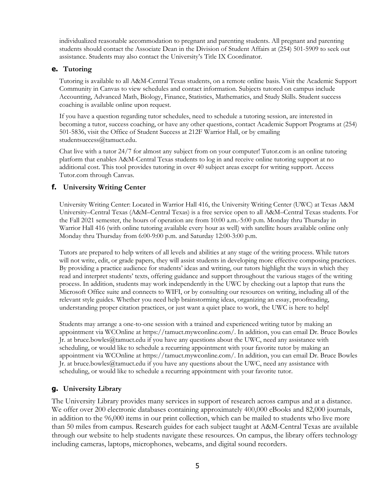individualized reasonable accommodation to pregnant and parenting students. All pregnant and parenting students should contact the Associate Dean in the Division of Student Affairs at (254) 501-5909 to seek out assistance. Students may also contact the University's Title IX Coordinator.

#### **e. Tutoring**

Tutoring is available to all A&M-Central Texas students, on a remote online basis. Visit the Academic Support Community in Canvas to view schedules and contact information. Subjects tutored on campus include Accounting, Advanced Math, Biology, Finance, Statistics, Mathematics, and Study Skills. Student success coaching is available online upon request.

If you have a question regarding tutor schedules, need to schedule a tutoring session, are interested in becoming a tutor, success coaching, or have any other questions, contact Academic Support Programs at (254) 501-5836, visit the Office of Student Success at 212F Warrior Hall, or by emailing studentsuccess@tamuct.edu.

Chat live with a tutor 24/7 for almost any subject from on your computer! Tutor.com is an online tutoring platform that enables A&M-Central Texas students to log in and receive online tutoring support at no additional cost. This tool provides tutoring in over 40 subject areas except for writing support. Access Tutor.com through Canvas.

## **f. University Writing Center**

University Writing Center: Located in Warrior Hall 416, the University Writing Center (UWC) at Texas A&M University–Central Texas (A&M–Central Texas) is a free service open to all A&M–Central Texas students. For the Fall 2021 semester, the hours of operation are from 10:00 a.m.-5:00 p.m. Monday thru Thursday in Warrior Hall 416 (with online tutoring available every hour as well) with satellite hours available online only Monday thru Thursday from 6:00-9:00 p.m. and Saturday 12:00-3:00 p.m.

Tutors are prepared to help writers of all levels and abilities at any stage of the writing process. While tutors will not write, edit, or grade papers, they will assist students in developing more effective composing practices. By providing a practice audience for students' ideas and writing, our tutors highlight the ways in which they read and interpret students' texts, offering guidance and support throughout the various stages of the writing process. In addition, students may work independently in the UWC by checking out a laptop that runs the Microsoft Office suite and connects to WIFI, or by consulting our resources on writing, including all of the relevant style guides. Whether you need help brainstorming ideas, organizing an essay, proofreading, understanding proper citation practices, or just want a quiet place to work, the UWC is here to help!

Students may arrange a one-to-one session with a trained and experienced writing tutor by making an appointment via WCOnline at https://tamuct.mywconline.com/. In addition, you can email Dr. Bruce Bowles Ir. at bruce.bowles@tamuct.edu if you have any questions about the UWC, need any assistance with scheduling, or would like to schedule a recurring appointment with your favorite tutor by making an appointment via WCOnline at https://tamuct.mywconline.com/. In addition, you can email Dr. Bruce Bowles Jr. at bruce.bowles@tamuct.edu if you have any questions about the UWC, need any assistance with scheduling, or would like to schedule a recurring appointment with your favorite tutor.

## **g. University Library**

The University Library provides many services in support of research across campus and at a distance. We offer over 200 electronic databases containing approximately 400,000 eBooks and 82,000 journals, in addition to the 96,000 items in our print collection, which can be mailed to students who live more than 50 miles from campus. Research guides for each subject taught at A&M-Central Texas are available through our website to help students navigate these resources. On campus, the library offers technology including cameras, laptops, microphones, webcams, and digital sound recorders.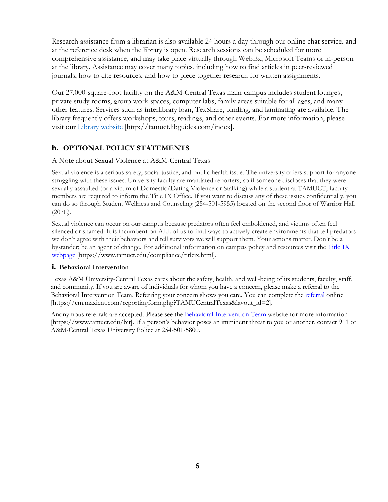Research assistance from a librarian is also available 24 hours a day through our online chat service, and at the reference desk when the library is open. Research sessions can be scheduled for more comprehensive assistance, and may take place virtually through WebEx, Microsoft Teams or in-person at the library. Assistance may cover many topics, including how to find articles in peer-reviewed journals, how to cite resources, and how to piece together research for written assignments.

Our 27,000-square-foot facility on the A&M-Central Texas main campus includes student lounges, private study rooms, group work spaces, computer labs, family areas suitable for all ages, and many other features. Services such as interlibrary loan, TexShare, binding, and laminating are available. The library frequently offers workshops, tours, readings, and other events. For more information, please visit our Library website [http://tamuct.libguides.com/index].

# **h. OPTIONAL POLICY STATEMENTS**

A Note about Sexual Violence at A&M-Central Texas

Sexual violence is a serious safety, social justice, and public health issue. The university offers support for anyone struggling with these issues. University faculty are mandated reporters, so if someone discloses that they were sexually assaulted (or a victim of Domestic/Dating Violence or Stalking) while a student at TAMUCT, faculty members are required to inform the Title IX Office. If you want to discuss any of these issues confidentially, you can do so through Student Wellness and Counseling (254-501-5955) located on the second floor of Warrior Hall (207L).

Sexual violence can occur on our campus because predators often feel emboldened, and victims often feel silenced or shamed. It is incumbent on ALL of us to find ways to actively create environments that tell predators we don't agree with their behaviors and tell survivors we will support them. Your actions matter. Don't be a bystander; be an agent of change. For additional information on campus policy and resources visit the Title IX webpage [https://www.tamuct.edu/compliance/titleix.html].

## **i. Behavioral Intervention**

Texas A&M University-Central Texas cares about the safety, health, and well-being of its students, faculty, staff, and community. If you are aware of individuals for whom you have a concern, please make a referral to the Behavioral Intervention Team. Referring your concern shows you care. You can complete the referral online [https://cm.maxient.com/reportingform.php?TAMUCentralTexas&layout\_id=2].

Anonymous referrals are accepted. Please see the Behavioral Intervention Team website for more information [https://www.tamuct.edu/bit]. If a person's behavior poses an imminent threat to you or another, contact 911 or A&M-Central Texas University Police at 254-501-5800.